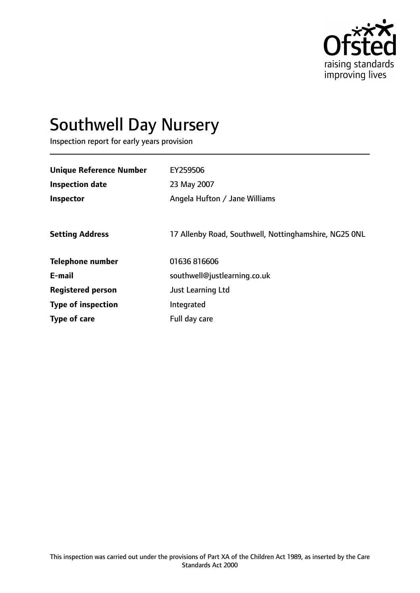

# Southwell Day Nursery

Inspection report for early years provision

| <b>Unique Reference Number</b> | EY259506                                              |
|--------------------------------|-------------------------------------------------------|
| <b>Inspection date</b>         | 23 May 2007                                           |
| <b>Inspector</b>               | Angela Hufton / Jane Williams                         |
|                                |                                                       |
| <b>Setting Address</b>         | 17 Allenby Road, Southwell, Nottinghamshire, NG25 ONL |
| <b>Telephone number</b>        | 01636 816606                                          |
| E-mail                         | southwell@justlearning.co.uk                          |
| <b>Registered person</b>       | Just Learning Ltd                                     |
| <b>Type of inspection</b>      | Integrated                                            |
| Type of care                   | Full day care                                         |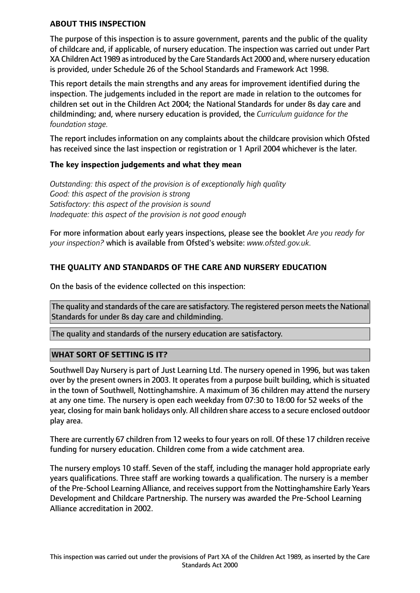#### **ABOUT THIS INSPECTION**

The purpose of this inspection is to assure government, parents and the public of the quality of childcare and, if applicable, of nursery education. The inspection was carried out under Part XA Children Act 1989 as introduced by the Care Standards Act 2000 and, where nursery education is provided, under Schedule 26 of the School Standards and Framework Act 1998.

This report details the main strengths and any areas for improvement identified during the inspection. The judgements included in the report are made in relation to the outcomes for children set out in the Children Act 2004; the National Standards for under 8s day care and childminding; and, where nursery education is provided, the *Curriculum guidance for the foundation stage.*

The report includes information on any complaints about the childcare provision which Ofsted has received since the last inspection or registration or 1 April 2004 whichever is the later.

# **The key inspection judgements and what they mean**

*Outstanding: this aspect of the provision is of exceptionally high quality Good: this aspect of the provision is strong Satisfactory: this aspect of the provision is sound Inadequate: this aspect of the provision is not good enough*

For more information about early years inspections, please see the booklet *Are you ready for your inspection?* which is available from Ofsted's website: *www.ofsted.gov.uk.*

# **THE QUALITY AND STANDARDS OF THE CARE AND NURSERY EDUCATION**

On the basis of the evidence collected on this inspection:

The quality and standards of the care are satisfactory. The registered person meets the National Standards for under 8s day care and childminding.

The quality and standards of the nursery education are satisfactory.

# **WHAT SORT OF SETTING IS IT?**

Southwell Day Nursery is part of Just Learning Ltd. The nursery opened in 1996, but was taken over by the present owners in 2003. It operates from a purpose built building, which is situated in the town of Southwell, Nottinghamshire. A maximum of 36 children may attend the nursery at any one time. The nursery is open each weekday from 07:30 to 18:00 for 52 weeks of the year, closing for main bank holidays only. All children share access to a secure enclosed outdoor play area.

There are currently 67 children from 12 weeks to four years on roll. Of these 17 children receive funding for nursery education. Children come from a wide catchment area.

The nursery employs 10 staff. Seven of the staff, including the manager hold appropriate early years qualifications. Three staff are working towards a qualification. The nursery is a member of the Pre-School Learning Alliance, and receives support from the Nottinghamshire Early Years Development and Childcare Partnership. The nursery was awarded the Pre-School Learning Alliance accreditation in 2002.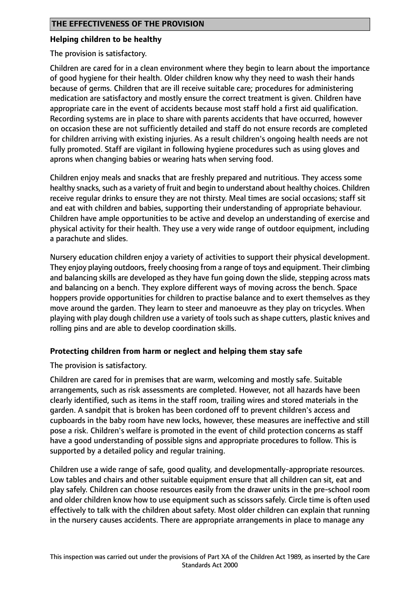#### **Helping children to be healthy**

The provision is satisfactory.

Children are cared for in a clean environment where they begin to learn about the importance of good hygiene for their health. Older children know why they need to wash their hands because of germs. Children that are ill receive suitable care; procedures for administering medication are satisfactory and mostly ensure the correct treatment is given. Children have appropriate care in the event of accidents because most staff hold a first aid qualification. Recording systems are in place to share with parents accidents that have occurred, however on occasion these are not sufficiently detailed and staff do not ensure records are completed for children arriving with existing injuries. As a result children's ongoing health needs are not fully promoted. Staff are vigilant in following hygiene procedures such as using gloves and aprons when changing babies or wearing hats when serving food.

Children enjoy meals and snacks that are freshly prepared and nutritious. They access some healthy snacks, such as a variety of fruit and begin to understand about healthy choices. Children receive regular drinks to ensure they are not thirsty. Meal times are social occasions; staff sit and eat with children and babies, supporting their understanding of appropriate behaviour. Children have ample opportunities to be active and develop an understanding of exercise and physical activity for their health. They use a very wide range of outdoor equipment, including a parachute and slides.

Nursery education children enjoy a variety of activities to support their physical development. They enjoy playing outdoors, freely choosing from a range of toys and equipment. Their climbing and balancing skills are developed as they have fun going down the slide, stepping across mats and balancing on a bench. They explore different ways of moving across the bench. Space hoppers provide opportunities for children to practise balance and to exert themselves as they move around the garden. They learn to steer and manoeuvre as they play on tricycles. When playing with play dough children use a variety of tools such as shape cutters, plastic knives and rolling pins and are able to develop coordination skills.

# **Protecting children from harm or neglect and helping them stay safe**

The provision is satisfactory.

Children are cared for in premises that are warm, welcoming and mostly safe. Suitable arrangements, such as risk assessments are completed. However, not all hazards have been clearly identified, such as items in the staff room, trailing wires and stored materials in the garden. A sandpit that is broken has been cordoned off to prevent children's access and cupboards in the baby room have new locks, however, these measures are ineffective and still pose a risk. Children's welfare is promoted in the event of child protection concerns as staff have a good understanding of possible signs and appropriate procedures to follow. This is supported by a detailed policy and regular training.

Children use a wide range of safe, good quality, and developmentally-appropriate resources. Low tables and chairs and other suitable equipment ensure that all children can sit, eat and play safely. Children can choose resources easily from the drawer units in the pre-school room and older children know how to use equipment such as scissors safely. Circle time is often used effectively to talk with the children about safety. Most older children can explain that running in the nursery causes accidents. There are appropriate arrangements in place to manage any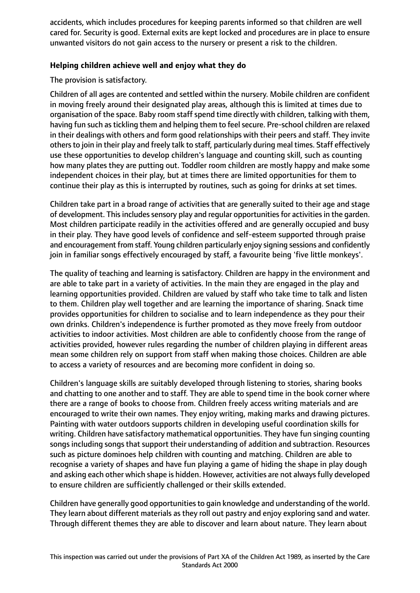accidents, which includes procedures for keeping parents informed so that children are well cared for. Security is good. External exits are kept locked and procedures are in place to ensure unwanted visitors do not gain access to the nursery or present a risk to the children.

# **Helping children achieve well and enjoy what they do**

The provision is satisfactory.

Children of all ages are contented and settled within the nursery. Mobile children are confident in moving freely around their designated play areas, although this is limited at times due to organisation of the space. Baby room staff spend time directly with children, talking with them, having fun such as tickling them and helping them to feel secure. Pre-school children are relaxed in their dealings with others and form good relationships with their peers and staff. They invite others to join in their play and freely talk to staff, particularly during meal times. Staff effectively use these opportunities to develop children's language and counting skill, such as counting how many plates they are putting out. Toddler room children are mostly happy and make some independent choices in their play, but at times there are limited opportunities for them to continue their play as this is interrupted by routines, such as going for drinks at set times.

Children take part in a broad range of activities that are generally suited to their age and stage of development. This includes sensory play and regular opportunities for activities in the garden. Most children participate readily in the activities offered and are generally occupied and busy in their play. They have good levels of confidence and self-esteem supported through praise and encouragement from staff. Young children particularly enjoy signing sessions and confidently join in familiar songs effectively encouraged by staff, a favourite being 'five little monkeys'.

The quality of teaching and learning is satisfactory. Children are happy in the environment and are able to take part in a variety of activities. In the main they are engaged in the play and learning opportunities provided. Children are valued by staff who take time to talk and listen to them. Children play well together and are learning the importance of sharing. Snack time provides opportunities for children to socialise and to learn independence as they pour their own drinks. Children's independence is further promoted as they move freely from outdoor activities to indoor activities. Most children are able to confidently choose from the range of activities provided, however rules regarding the number of children playing in different areas mean some children rely on support from staff when making those choices. Children are able to access a variety of resources and are becoming more confident in doing so.

Children's language skills are suitably developed through listening to stories, sharing books and chatting to one another and to staff. They are able to spend time in the book corner where there are a range of books to choose from. Children freely access writing materials and are encouraged to write their own names. They enjoy writing, making marks and drawing pictures. Painting with water outdoors supports children in developing useful coordination skills for writing. Children have satisfactory mathematical opportunities. They have fun singing counting songs including songs that support their understanding of addition and subtraction. Resources such as picture dominoes help children with counting and matching. Children are able to recognise a variety of shapes and have fun playing a game of hiding the shape in play dough and asking each other which shape is hidden. However, activities are not always fully developed to ensure children are sufficiently challenged or their skills extended.

Children have generally good opportunitiesto gain knowledge and understanding of the world. They learn about different materials as they roll out pastry and enjoy exploring sand and water. Through different themes they are able to discover and learn about nature. They learn about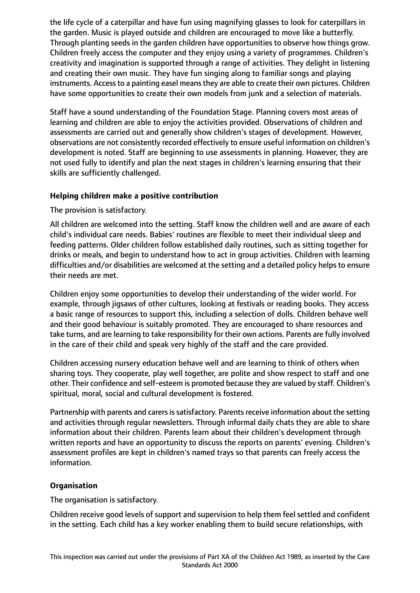the life cycle of a caterpillar and have fun using magnifying glasses to look for caterpillars in the garden. Music is played outside and children are encouraged to move like a butterfly. Through planting seeds in the garden children have opportunities to observe how things grow. Children freely access the computer and they enjoy using a variety of programmes. Children's creativity and imagination is supported through a range of activities. They delight in listening and creating their own music. They have fun singing along to familiar songs and playing instruments. Access to a painting easel means they are able to create their own pictures. Children have some opportunities to create their own models from junk and a selection of materials.

Staff have a sound understanding of the Foundation Stage. Planning covers most areas of learning and children are able to enjoy the activities provided. Observations of children and assessments are carried out and generally show children's stages of development. However, observations are not consistently recorded effectively to ensure useful information on children's development is noted. Staff are beginning to use assessments in planning. However, they are not used fully to identify and plan the next stages in children's learning ensuring that their skills are sufficiently challenged.

# **Helping children make a positive contribution**

The provision is satisfactory.

All children are welcomed into the setting. Staff know the children well and are aware of each child's individual care needs. Babies' routines are flexible to meet their individual sleep and feeding patterns. Older children follow established daily routines, such as sitting together for drinks or meals, and begin to understand how to act in group activities. Children with learning difficulties and/or disabilities are welcomed at the setting and a detailed policy helps to ensure their needs are met.

Children enjoy some opportunities to develop their understanding of the wider world. For example, through jigsaws of other cultures, looking at festivals or reading books. They access a basic range of resources to support this, including a selection of dolls. Children behave well and their good behaviour is suitably promoted. They are encouraged to share resources and take turns, and are learning to take responsibility for their own actions. Parents are fully involved in the care of their child and speak very highly of the staff and the care provided.

Children accessing nursery education behave well and are learning to think of others when sharing toys. They cooperate, play well together, are polite and show respect to staff and one other. Their confidence and self-esteem is promoted because they are valued by staff. Children's spiritual, moral, social and cultural development is fostered.

Partnership with parents and carers is satisfactory. Parents receive information about the setting and activities through regular newsletters. Through informal daily chats they are able to share information about their children. Parents learn about their children's development through written reports and have an opportunity to discuss the reports on parents' evening. Children's assessment profiles are kept in children's named trays so that parents can freely access the information.

# **Organisation**

The organisation is satisfactory.

Children receive good levels of support and supervision to help them feel settled and confident in the setting. Each child has a key worker enabling them to build secure relationships, with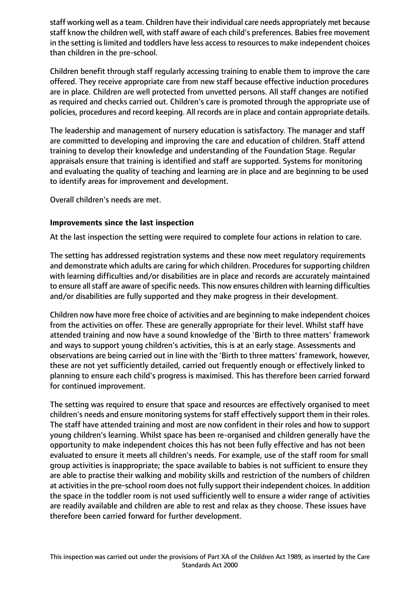staff working well as a team. Children have their individual care needs appropriately met because staff know the children well, with staff aware of each child's preferences. Babies free movement in the setting is limited and toddlers have less access to resources to make independent choices than children in the pre-school.

Children benefit through staff regularly accessing training to enable them to improve the care offered. They receive appropriate care from new staff because effective induction procedures are in place. Children are well protected from unvetted persons. All staff changes are notified as required and checks carried out. Children's care is promoted through the appropriate use of policies, procedures and record keeping. All records are in place and contain appropriate details.

The leadership and management of nursery education is satisfactory. The manager and staff are committed to developing and improving the care and education of children. Staff attend training to develop their knowledge and understanding of the Foundation Stage. Regular appraisals ensure that training is identified and staff are supported. Systems for monitoring and evaluating the quality of teaching and learning are in place and are beginning to be used to identify areas for improvement and development.

Overall children's needs are met.

# **Improvements since the last inspection**

At the last inspection the setting were required to complete four actions in relation to care.

The setting has addressed registration systems and these now meet regulatory requirements and demonstrate which adults are caring for which children. Procedures for supporting children with learning difficulties and/or disabilities are in place and records are accurately maintained to ensure all staff are aware of specific needs. This now ensures children with learning difficulties and/or disabilities are fully supported and they make progress in their development.

Children now have more free choice of activities and are beginning to make independent choices from the activities on offer. These are generally appropriate for their level. Whilst staff have attended training and now have a sound knowledge of the 'Birth to three matters' framework and ways to support young children's activities, this is at an early stage. Assessments and observations are being carried out in line with the 'Birth to three matters' framework, however, these are not yet sufficiently detailed, carried out frequently enough or effectively linked to planning to ensure each child's progress is maximised. This has therefore been carried forward for continued improvement.

The setting was required to ensure that space and resources are effectively organised to meet children's needs and ensure monitoring systems for staff effectively support them in their roles. The staff have attended training and most are now confident in their roles and how to support young children's learning. Whilst space has been re-organised and children generally have the opportunity to make independent choices this has not been fully effective and has not been evaluated to ensure it meets all children's needs. For example, use of the staff room for small group activities is inappropriate; the space available to babies is not sufficient to ensure they are able to practise their walking and mobility skills and restriction of the numbers of children at activities in the pre-school room does not fully support their independent choices. In addition the space in the toddler room is not used sufficiently well to ensure a wider range of activities are readily available and children are able to rest and relax as they choose. These issues have therefore been carried forward for further development.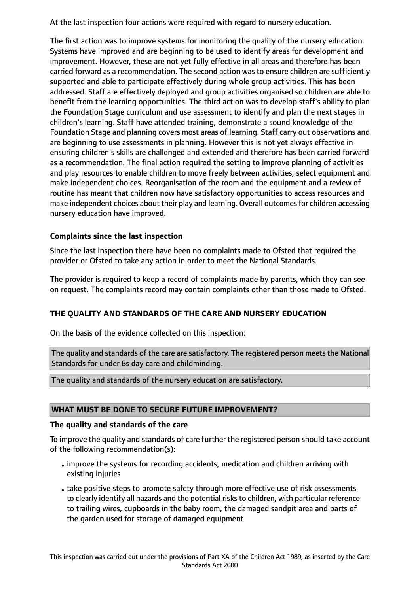At the last inspection four actions were required with regard to nursery education.

The first action was to improve systems for monitoring the quality of the nursery education. Systems have improved and are beginning to be used to identify areas for development and improvement. However, these are not yet fully effective in all areas and therefore has been carried forward as a recommendation. The second action was to ensure children are sufficiently supported and able to participate effectively during whole group activities. This has been addressed. Staff are effectively deployed and group activities organised so children are able to benefit from the learning opportunities. The third action was to develop staff's ability to plan the Foundation Stage curriculum and use assessment to identify and plan the next stages in children's learning. Staff have attended training, demonstrate a sound knowledge of the Foundation Stage and planning covers most areas of learning. Staff carry out observations and are beginning to use assessments in planning. However this is not yet always effective in ensuring children's skills are challenged and extended and therefore has been carried forward as a recommendation. The final action required the setting to improve planning of activities and play resources to enable children to move freely between activities, select equipment and make independent choices. Reorganisation of the room and the equipment and a review of routine has meant that children now have satisfactory opportunities to access resources and make independent choices about their play and learning. Overall outcomes for children accessing nursery education have improved.

# **Complaints since the last inspection**

Since the last inspection there have been no complaints made to Ofsted that required the provider or Ofsted to take any action in order to meet the National Standards.

The provider is required to keep a record of complaints made by parents, which they can see on request. The complaints record may contain complaints other than those made to Ofsted.

# **THE QUALITY AND STANDARDS OF THE CARE AND NURSERY EDUCATION**

On the basis of the evidence collected on this inspection:

The quality and standards of the care are satisfactory. The registered person meets the National Standards for under 8s day care and childminding.

The quality and standards of the nursery education are satisfactory.

# **WHAT MUST BE DONE TO SECURE FUTURE IMPROVEMENT?**

# **The quality and standards of the care**

To improve the quality and standards of care further the registered person should take account of the following recommendation(s):

- •improve the systems for recording accidents, medication and children arriving with existing injuries
- •take positive steps to promote safety through more effective use of risk assessments to clearly identify all hazards and the potential risks to children, with particular reference to trailing wires, cupboards in the baby room, the damaged sandpit area and parts of the garden used for storage of damaged equipment